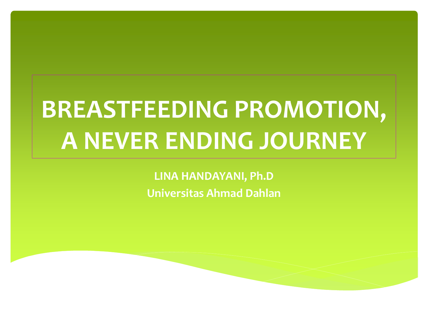# **BREASTFEEDING PROMOTION, A NEVER ENDING JOURNEY**

**LINA HANDAYANI, Ph.D Universitas Ahmad Dahlan**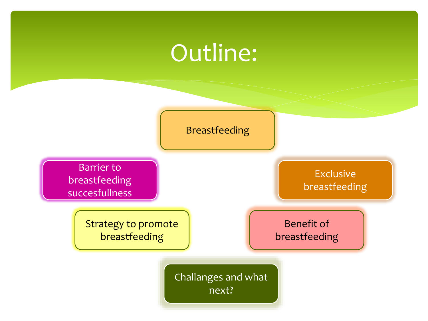#### Outline:

Breastfeeding

Barrier to breastfeeding succesfullness

> Strategy to promote breastfeeding

Exclusive breastfeeding

Benefit of breastfeeding

Challanges and what next?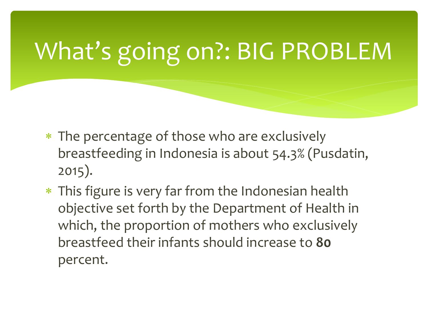# What's going on?: BIG PROBLEM

- \* The percentage of those who are exclusively breastfeeding in Indonesia is about 54.3% (Pusdatin, 2015).
- \* This figure is very far from the Indonesian health objective set forth by the Department of Health in which, the proportion of mothers who exclusively breastfeed their infants should increase to **80** percent.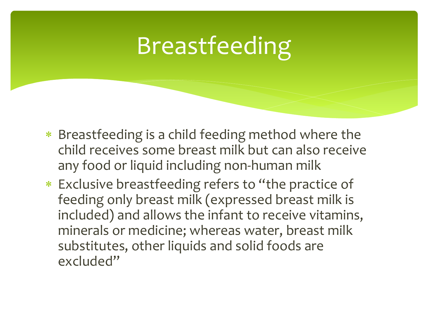# Breastfeeding

- \* Breastfeeding is a child feeding method where the child receives some breast milk but can also receive any food or liquid including non-human milk
- Exclusive breastfeeding refers to "the practice of feeding only breast milk (expressed breast milk is included) and allows the infant to receive vitamins, minerals or medicine; whereas water, breast milk substitutes, other liquids and solid foods are excluded"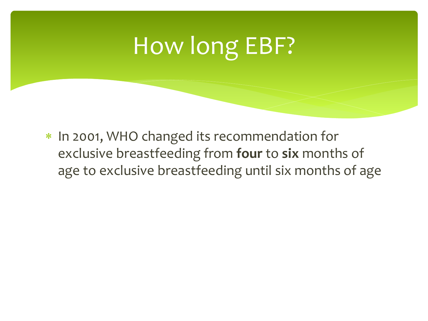## How long EBF?

\* In 2001, WHO changed its recommendation for exclusive breastfeeding from **four** to **six** months of age to exclusive breastfeeding until six months of age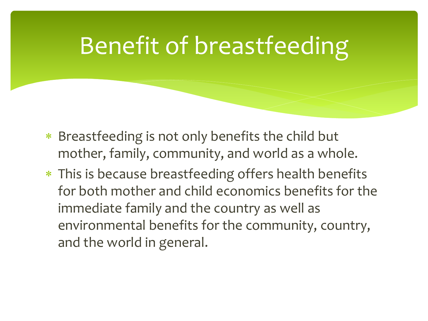### Benefit of breastfeeding

- \* Breastfeeding is not only benefits the child but mother, family, community, and world as a whole.
- This is because breastfeeding offers health benefits for both mother and child economics benefits for the immediate family and the country as well as environmental benefits for the community, country, and the world in general.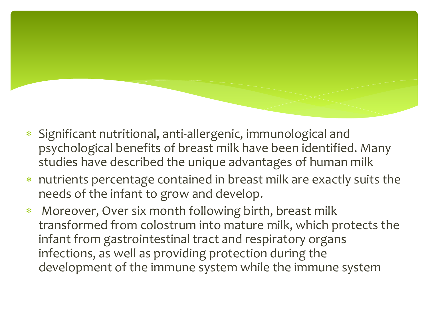- Significant nutritional, anti-allergenic, immunological and psychological benefits of breast milk have been identified. Many studies have described the unique advantages of human milk
- nutrients percentage contained in breast milk are exactly suits the needs of the infant to grow and develop.
- Moreover, Over six month following birth, breast milk transformed from colostrum into mature milk, which protects the infant from gastrointestinal tract and respiratory organs infections, as well as providing protection during the development of the immune system while the immune system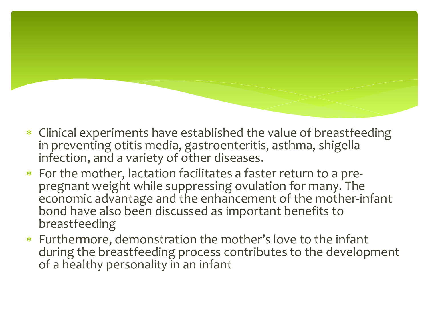- Clinical experiments have established the value of breastfeeding in preventing otitis media, gastroenteritis, asthma, shigella infection, and a variety of other diseases.
- For the mother, lactation facilitates a faster return to a prepregnant weight while suppressing ovulation for many. The economic advantage and the enhancement of the mother-infant bond have also been discussed as important benefits to breastfeeding
- Furthermore, demonstration the mother's love to the infant during the breastfeeding process contributes to the development of a healthy personality in an infant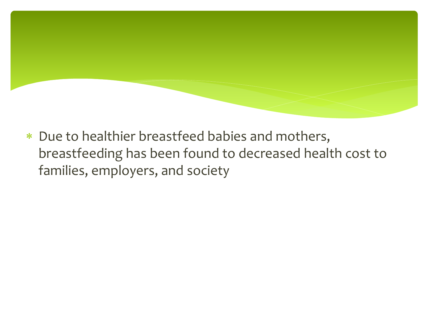Due to healthier breastfeed babies and mothers, breastfeeding has been found to decreased health cost to families, employers, and society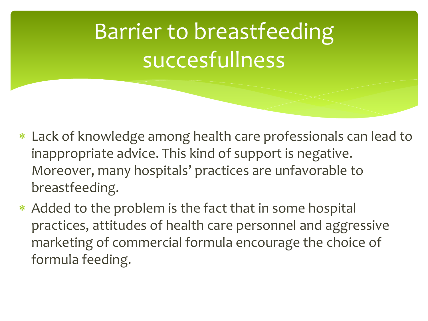Barrier to breastfeeding succesfullness

- Lack of knowledge among health care professionals can lead to inappropriate advice. This kind of support is negative. Moreover, many hospitals' practices are unfavorable to breastfeeding.
- \* Added to the problem is the fact that in some hospital practices, attitudes of health care personnel and aggressive marketing of commercial formula encourage the choice of formula feeding.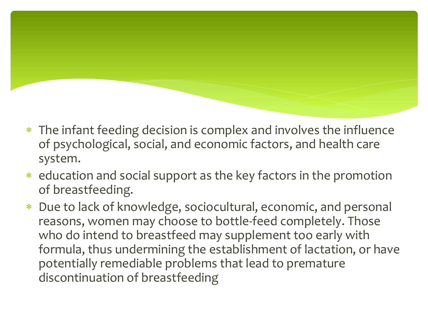- The infant feeding decision is complex and involves the influence of psychological, social, and economic factors, and health care system.
- education and social support as the key factors in the promotion of breastfeeding.
- Due to lack of knowledge, sociocultural, economic, and personal reasons, women may choose to bottle-feed completely. Those who do intend to breastfeed may supplement too early with formula, thus undermining the establishment of lactation, or have potentially remediable problems that lead to premature discontinuation of breastfeeding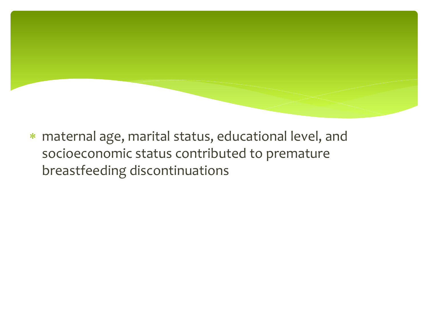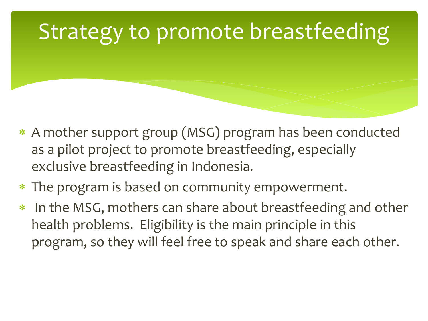#### Strategy to promote breastfeeding

- A mother support group (MSG) program has been conducted as a pilot project to promote breastfeeding, especially exclusive breastfeeding in Indonesia.
- The program is based on community empowerment.
- In the MSG, mothers can share about breastfeeding and other health problems. Eligibility is the main principle in this program, so they will feel free to speak and share each other.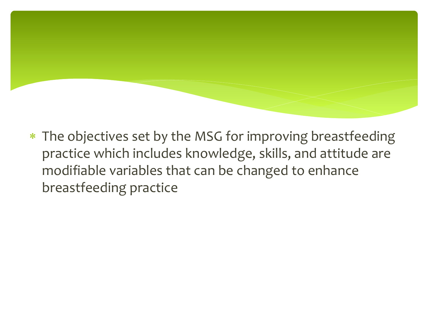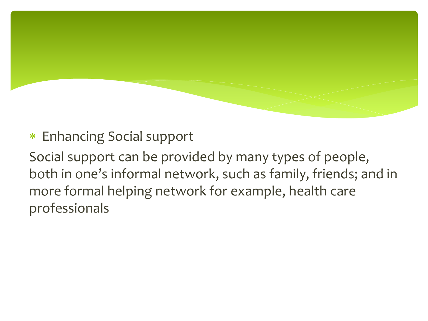#### Enhancing Social support

Social support can be provided by many types of people, both in one's informal network, such as family, friends; and in more formal helping network for example, health care professionals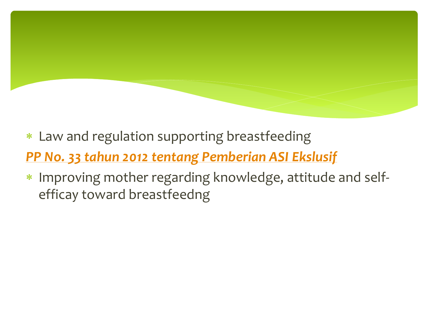- Law and regulation supporting breastfeeding *[PP No. 33 tahun 2012 tentang Pemberian ASI Ekslusif](https://www.google.com/url?sa=t&rct=j&q=&esrc=s&source=web&cd=6&cad=rja&uact=8&ved=0ahUKEwitscrjgO3WAhUHHZQKHeBUCCkQFghVMAU&url=http://pergizi.org/images/stories/downloads/PP/pp 33 2012 ttg pemberian asi ekslusif.pdf&usg=AOvVaw2swbCC6X-f6yS1jeaJRjZR)*
- Improving mother regarding knowledge, attitude and selfefficay toward breastfeedng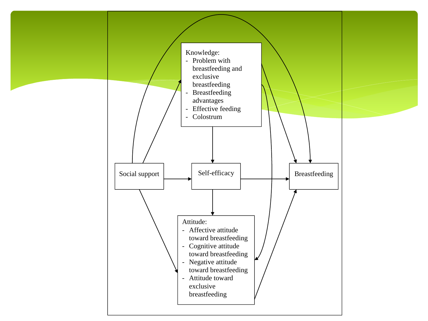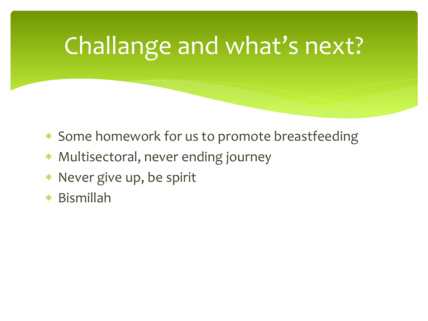# Challange and what's next?

- \* Some homework for us to promote breastfeeding
- Multisectoral, never ending journey
- \* Never give up, be spirit
- Bismillah